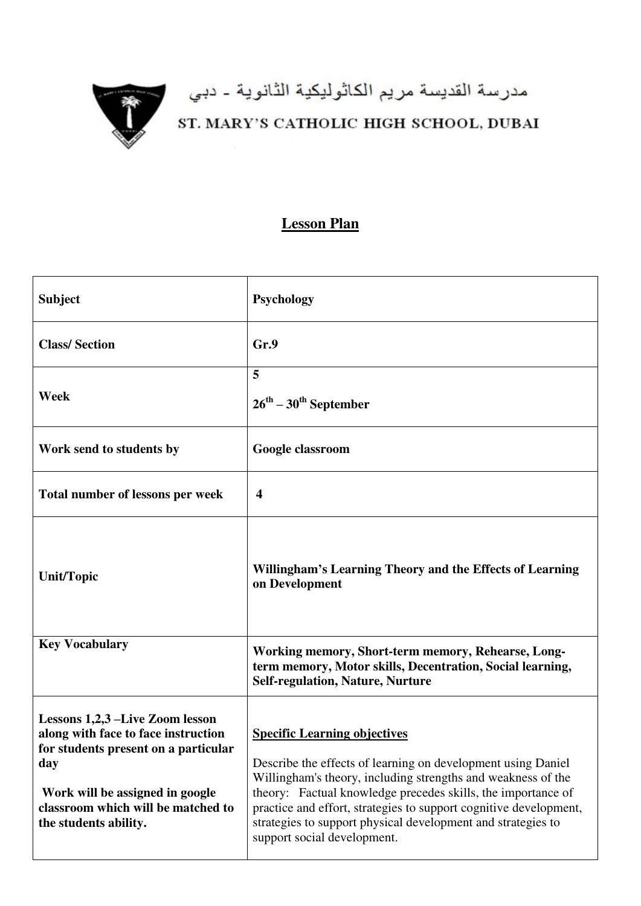

## مدرسة القديسة مريم الكاثوليكية الثانوية - دبي<br>ST. MARY'S CATHOLIC HIGH SCHOOL, DUBAI

## **Lesson Plan**

| <b>Subject</b>                                                                                                                                                                                                          | <b>Psychology</b>                                                                                                                                                                                                                                                                                                                                                                                       |
|-------------------------------------------------------------------------------------------------------------------------------------------------------------------------------------------------------------------------|---------------------------------------------------------------------------------------------------------------------------------------------------------------------------------------------------------------------------------------------------------------------------------------------------------------------------------------------------------------------------------------------------------|
| <b>Class/Section</b>                                                                                                                                                                                                    | Gr.9                                                                                                                                                                                                                                                                                                                                                                                                    |
| Week                                                                                                                                                                                                                    | 5<br>$26^{\text{th}} - 30^{\text{th}}$ September                                                                                                                                                                                                                                                                                                                                                        |
| Work send to students by                                                                                                                                                                                                | Google classroom                                                                                                                                                                                                                                                                                                                                                                                        |
| Total number of lessons per week                                                                                                                                                                                        | $\boldsymbol{4}$                                                                                                                                                                                                                                                                                                                                                                                        |
| <b>Unit/Topic</b>                                                                                                                                                                                                       | Willingham's Learning Theory and the Effects of Learning<br>on Development                                                                                                                                                                                                                                                                                                                              |
| <b>Key Vocabulary</b>                                                                                                                                                                                                   | Working memory, Short-term memory, Rehearse, Long-<br>term memory, Motor skills, Decentration, Social learning,<br><b>Self-regulation, Nature, Nurture</b>                                                                                                                                                                                                                                              |
| Lessons 1,2,3 –Live Zoom lesson<br>along with face to face instruction<br>for students present on a particular<br>day<br>Work will be assigned in google<br>classroom which will be matched to<br>the students ability. | <b>Specific Learning objectives</b><br>Describe the effects of learning on development using Daniel<br>Willingham's theory, including strengths and weakness of the<br>theory: Factual knowledge precedes skills, the importance of<br>practice and effort, strategies to support cognitive development,<br>strategies to support physical development and strategies to<br>support social development. |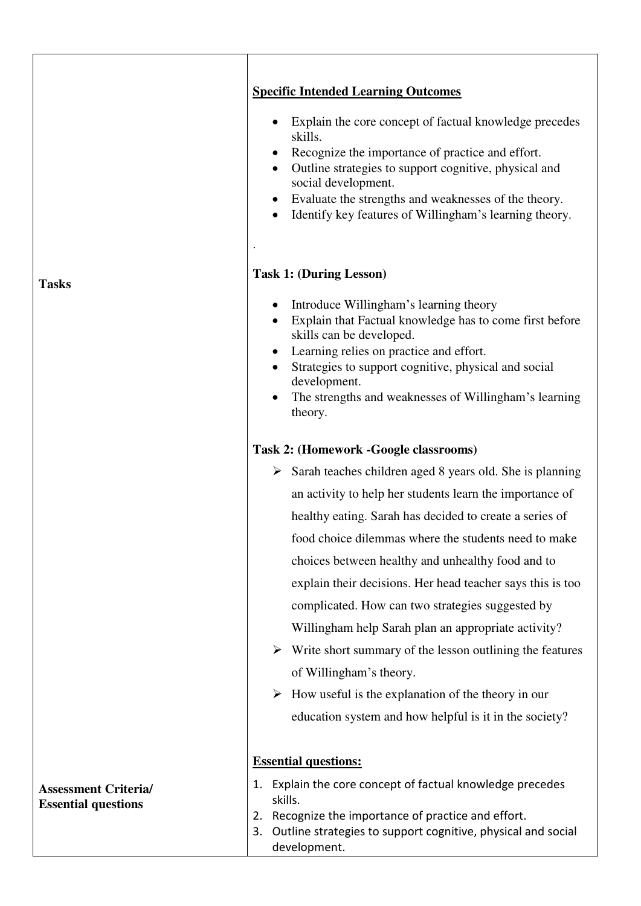|                             | <b>Specific Intended Learning Outcomes</b>                                                                                                                                                                                                                                                                                                                               |
|-----------------------------|--------------------------------------------------------------------------------------------------------------------------------------------------------------------------------------------------------------------------------------------------------------------------------------------------------------------------------------------------------------------------|
|                             | Explain the core concept of factual knowledge precedes<br>٠<br>skills.<br>Recognize the importance of practice and effort.<br>$\bullet$<br>Outline strategies to support cognitive, physical and<br>$\bullet$<br>social development.<br>Evaluate the strengths and weaknesses of the theory.<br>$\bullet$<br>Identify key features of Willingham's learning theory.<br>٠ |
| <b>Tasks</b>                | <b>Task 1: (During Lesson)</b>                                                                                                                                                                                                                                                                                                                                           |
|                             | Introduce Willingham's learning theory<br>Explain that Factual knowledge has to come first before<br>skills can be developed.<br>Learning relies on practice and effort.<br>Strategies to support cognitive, physical and social<br>$\bullet$<br>development.<br>The strengths and weaknesses of Willingham's learning<br>٠<br>theory.                                   |
|                             | Task 2: (Homework -Google classrooms)                                                                                                                                                                                                                                                                                                                                    |
|                             | $\triangleright$ Sarah teaches children aged 8 years old. She is planning                                                                                                                                                                                                                                                                                                |
|                             | an activity to help her students learn the importance of                                                                                                                                                                                                                                                                                                                 |
|                             |                                                                                                                                                                                                                                                                                                                                                                          |
|                             | healthy eating. Sarah has decided to create a series of<br>food choice dilemmas where the students need to make                                                                                                                                                                                                                                                          |
|                             | choices between healthy and unhealthy food and to                                                                                                                                                                                                                                                                                                                        |
|                             | explain their decisions. Her head teacher says this is too                                                                                                                                                                                                                                                                                                               |
|                             | complicated. How can two strategies suggested by                                                                                                                                                                                                                                                                                                                         |
|                             | Willingham help Sarah plan an appropriate activity?                                                                                                                                                                                                                                                                                                                      |
|                             | $\triangleright$ Write short summary of the lesson outlining the features                                                                                                                                                                                                                                                                                                |
|                             | of Willingham's theory.                                                                                                                                                                                                                                                                                                                                                  |
|                             | How useful is the explanation of the theory in our<br>➤                                                                                                                                                                                                                                                                                                                  |
|                             | education system and how helpful is it in the society?                                                                                                                                                                                                                                                                                                                   |
|                             |                                                                                                                                                                                                                                                                                                                                                                          |
|                             | <b>Essential questions:</b>                                                                                                                                                                                                                                                                                                                                              |
| <b>Assessment Criteria/</b> | 1. Explain the core concept of factual knowledge precedes<br>skills.                                                                                                                                                                                                                                                                                                     |
| <b>Essential questions</b>  | Recognize the importance of practice and effort.<br>2.<br>Outline strategies to support cognitive, physical and social<br>3.<br>development.                                                                                                                                                                                                                             |